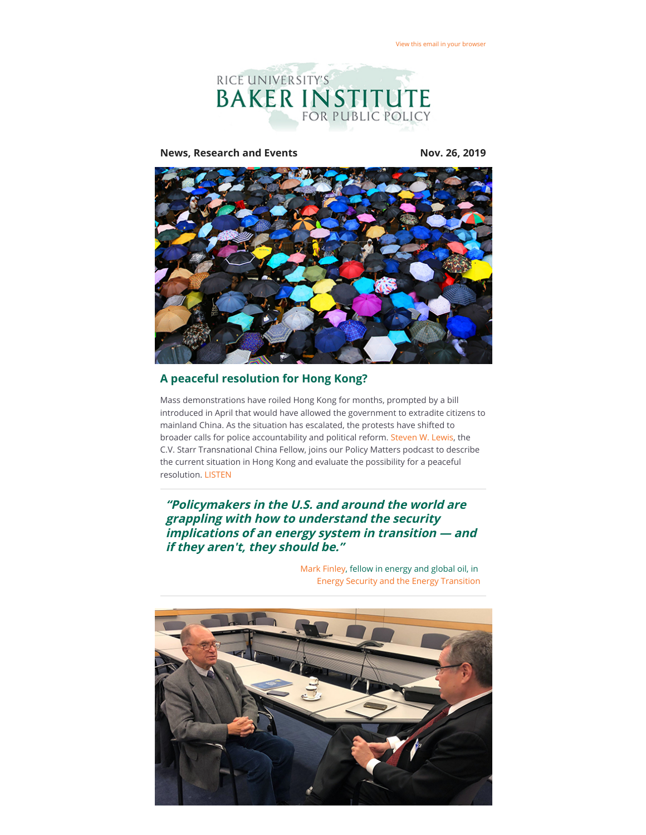

**News, Research and Events Nov. 26, 2019**



## **A peaceful resolution for Hong Kong?**

Mass demonstrations have roiled Hong Kong for months, prompted by a bill introduced in April that would have allowed the government to extradite citizens to mainland China. As the situation has escalated, the protests have shifted to broader calls for police accountability and political reform. [Steven W. Lewis,](https://riceconnect.rice.edu/page.redir?target=https%3a%2f%2fwww.bakerinstitute.org%2fexperts%2fsteven-w-lewis%2f&srcid=101474&srctid=1&erid=e0e493e1-e9ce-4e92-86a1-c06e9a72d212&trid=e0e493e1-e9ce-4e92-86a1-c06e9a72d212) the C.V. Starr Transnational China Fellow, joins our Policy Matters podcast to describe the current situation in Hong Kong and evaluate the possibility for a peaceful resolution. [LISTEN](https://riceconnect.rice.edu/page.redir?target=http%3a%2f%2fbit.ly%2f35hGzsD&srcid=101474&srctid=1&erid=e0e493e1-e9ce-4e92-86a1-c06e9a72d212&trid=e0e493e1-e9ce-4e92-86a1-c06e9a72d212)

**"Policymakers in the U.S. and around the world are grappling with how to understand the security implications of an energy system in transition — and if they aren't, they should be."**



[Mark Finley](https://riceconnect.rice.edu/page.redir?target=https%3a%2f%2fwww.bakerinstitute.org%2fexperts%2fmark-finley%2f&srcid=101474&srctid=1&erid=e0e493e1-e9ce-4e92-86a1-c06e9a72d212&trid=e0e493e1-e9ce-4e92-86a1-c06e9a72d212), fellow in energy and global oil, in [Energy Security and the Energy Transition](https://riceconnect.rice.edu/page.redir?target=https%3a%2f%2fwww.bakerinstitute.org%2fresearch%2fenergy-security-and-energy-transition-classic-framework-new-challenge%2f&srcid=101474&srctid=1&erid=e0e493e1-e9ce-4e92-86a1-c06e9a72d212&trid=e0e493e1-e9ce-4e92-86a1-c06e9a72d212)